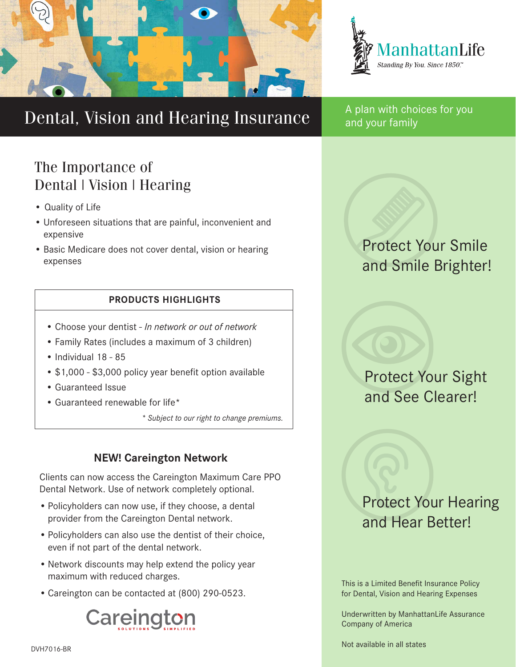



# Dental, Vision and Hearing Insurance A plan with choices for you

### The Importance of Dental | Vision | Hearing

- Quality of Life
- Unforeseen situations that are painful, inconvenient and expensive
- Basic Medicare does not cover dental, vision or hearing expenses

#### **PRODUCTS HIGHLIGHTS**

- Choose your dentist *In network or out of network*
- Family Rates (includes a maximum of 3 children)
- Individual 18 85
- \$1,000 \$3,000 policy year benefit option available
- Guaranteed Issue
- Guaranteed renewable for life\*

*\* Subject to our right to change premiums.*

### **NEW! Careington Network**

Clients can now access the Careington Maximum Care PPO Dental Network. Use of network completely optional.

- Policyholders can now use, if they choose, a dental provider from the Careington Dental network.
- •Policyholders can also use the dentist of their choice, even if not part of the dental network.
- •Network discounts may help extend the policy year maximum with reduced charges.
- •Careington can be contacted at (800) 290-0523.



and your family

### Protect Your Smile and Smile Brighter!

Protect Your Sight and See Clearer!

## Protect Your Hearing and Hear Better!

This is a Limited Benefit Insurance Policy for Dental, Vision and Hearing Expenses

Underwritten by ManhattanLife Assurance Company of America

Not available in all states DVH7016-BR